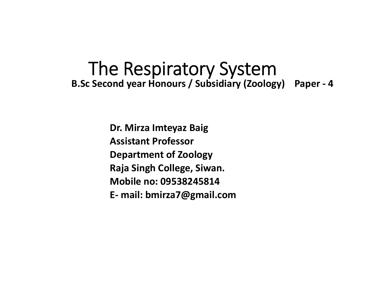# The Respiratory System **B.Sc Second year Honours / Subsidiary (Zoology) Paper ‐ 4**

**Dr. Mirza Imteyaz Baig Assistant ProfessorDepartment of Zoology Raja Singh College, Siwan. Mobile no: 09538245814E‐ mail: bmirza7@gmail.com**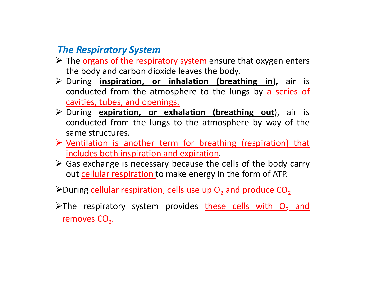### *The Respiratory System*

- $\triangleright$  The organs of the respiratory system ensure that oxygen enters the body and carbon dioxide leaves the body.
- During **inspiration, or inhalation (breathing in),** air is conducted from the atmosphere to the lungs by a series of cavities, tubes, and openings.
- During **expiration, or exhalation (breathing out**), air is conducted from the lungs to the atmosphere by way of the same structures.
- Ventilation is another term for breathing (respiration) that includes both inspiration and expiration.
- Gas exchange is necessary because the cells of the body carry out <u>cellular respiration t</u>o make energy in the form of ATP.
- $\blacktriangleright$ During cellular respiration, cells use up  $\mathrm{O}_2$  and produce CO<sub>2</sub>.
- >The respiratory system provides <u>these cells with O<sub>2</sub> and</u> removes  $CO<sub>2</sub>$ .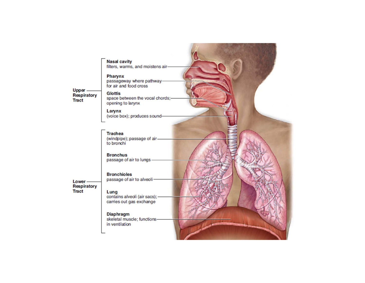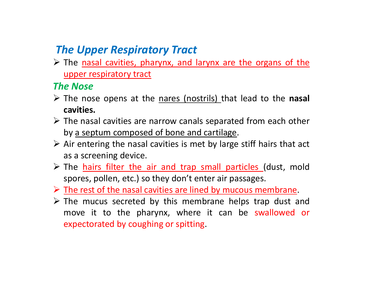## *The Upper Respiratory Tract*

 $\triangleright$  The nasal cavities, pharynx, and larynx are the organs of the upper respiratory tract

#### *The Nose*

- The nose opens at the nares (nostrils) that lead to the **nasal cavities.**
- $\triangleright$  The nasal cavities are narrow canals separated from each other by <sup>a</sup> septum composed of bone and cartilage.
- $\triangleright$  Air entering the nasal cavities is met by large stiff hairs that act as <sup>a</sup> screening device.
- > The hairs filter the air and trap small particles (dust, mold spores, pollen, etc.) so they don't enter air passages.
- $\triangleright$  The rest of the nasal cavities are lined by mucous membrane.
- $\triangleright$  The mucus secreted by this membrane helps trap dust and move it to the pharynx, where it can be swallowed or expectorated by coughing or spitting.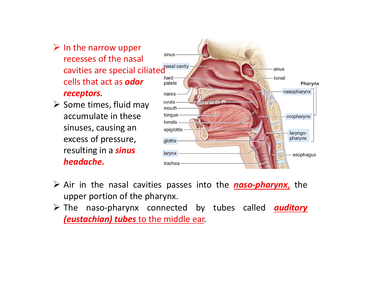- $\triangleright$  In the narrow upper recesses of the nasal cavities are special ciliated cells that act as *odor receptors.*
- $\triangleright$  Some times, fluid may accumulate in these sinuses, causing an excess of pressure, resulting in <sup>a</sup> *sinus headache.*



- Air in the nasal cavities passes into the *naso‐pharynx*, the upper portion of the pharynx.
- The naso‐pharynx connected by tubes called *auditory (eustachian) tubes* to the middle ear.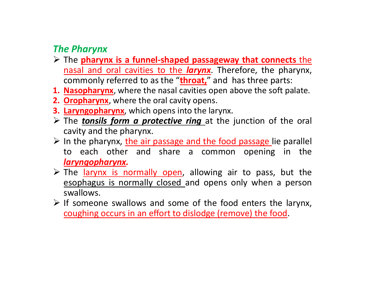### *The Pharynx*

- The **pharynx is <sup>a</sup> funnel‐shaped passageway that connects** the nasal and oral cavities to the *larynx*. Therefore, the pharynx, commonly referred to as the "**throat,**" and has three parts:
- **1. Nasopharynx**, where the nasal cavities open above the soft palate.
- **2. Oropharynx**, where the oral cavity opens.
- **3. Laryngopharynx**, which opens into the larynx.
- The *tonsils form <sup>a</sup> protective ring* at the junction of the oral cavity and the pharynx.
- $\triangleright$  In the pharynx, the air passage and the food passage lie parallel to each other and share <sup>a</sup> common opening in the *laryngopharynx.*
- > The larynx is normally open, allowing air to pass, but the esophagus is normally closed and opens only when <sup>a</sup> person swallows.
- $\triangleright$  If someone swallows and some of the food enters the larynx, coughing occurs in an effort to dislodge (remove) the food.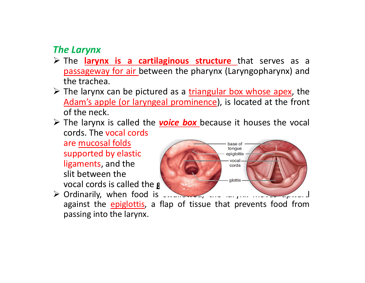#### *The Larynx*

- The **larynx is <sup>a</sup> cartilaginous structure** that serves as <sup>a</sup> passageway for air between the pharynx (Laryngopharynx) and the trachea.
- $\triangleright$  The larynx can be pictured as a triangular box whose apex, the Adam's apple (or laryngeal prominence), is located at the front of the neck.
- The larynx is called the *voice box* because it houses the vocal cords. The vocal cords

are mucosal folds supported by elastic ligaments, and the slit between the **vocal cords is called the g** 



> Ordinarily, when food is successions, the largest moves upward against the epiglottis, a flap of tissue that prevents food from passing into the larynx.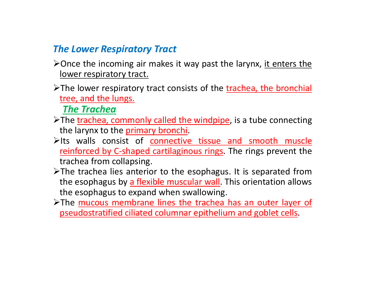#### *The Lower Respiratory Tract*

- $\triangleright$  Once the incoming air makes it way past the larynx, it enters the lower respiratory tract.
- The lower respiratory tract consists of the trachea, the bronchial tree, and the lungs.

*The Trachea*

- >The trachea, commonly called the windpipe, is a tube connecting the larynx to the primary bronchi.
- $\blacktriangleright$ Its walls consist of connective tissue and smooth muscle reinforced by C-shaped cartilaginous rings. The rings prevent the trachea from collapsing.
- >The trachea lies anterior to the esophagus. It is separated from the esophagus by a flexible muscular wall. This orientation allows the esophagus to expand when swallowing.
- >The mucous membrane lines the trachea has an outer layer of pseudostratified ciliated columnar epithelium and goblet cells.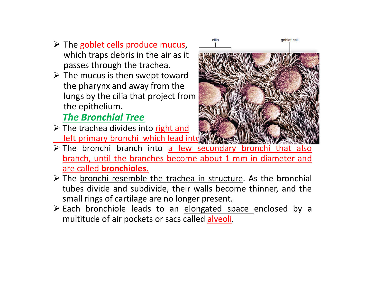- > The goblet cells produce mucus, which traps debris in the air as it passes through the trachea.
- $\triangleright$  The mucus is then swept toward the pharynx and away from the lungs by the cilia that project from the epithelium.

## *The Bronchial Tree*

> The trachea divides into right and **left primary bronchi which lead into** 



- $\triangleright$  The bronchi branch into  $a$  few secondary bronchi that also branch, until the branches become about 1 mm in diameter and are called **bronchioles.**
- $\triangleright$  The bronchi resemble the trachea in structure. As the bronchial tubes divide and subdivide, their walls become thinner, and the small rings of cartilage are no longer present.
- $\triangleright$  Each bronchiole leads to an elongated space enclosed by a multitude of air pockets or sacs called alveoli.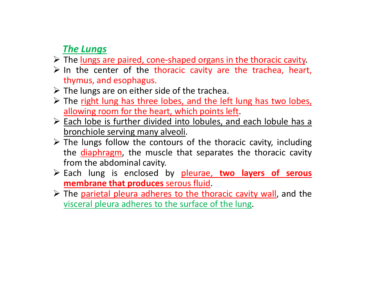### *The Lungs*

- > The lungs are paired, cone-shaped organs in the thoracic cavity.
- $\triangleright$  In the center of the thoracic cavity are the trachea, heart, thymus, and esophagus.
- $\triangleright$  The lungs are on either side of the trachea.
- $\triangleright$  The right lung has three lobes, and the left lung has two lobes, allowing room for the heart, which points left.
- Each lobe is further divided into lobules, and each lobule has a bronchiole serving many alveoli.
- $\triangleright$  The lungs follow the contours of the thoracic cavity, including the diaphragm, the muscle that separates the thoracic cavity from the abdominal cavity.
- Each lung is enclosed by pleurae, **two layers of serous membrane that produces** serous fluid.
- > The parietal pleura adheres to the thoracic cavity wall, and the visceral pleura adheres to the surface of the lung.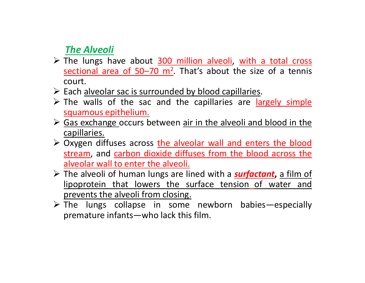### *The Alveoli*

- > The lungs have about 300 million alveoli, with a total cross sectional area of  $50-70$  m<sup>2</sup>. That's about the size of a tennis court.
- > Each alveolar sac is surrounded by blood capillaries.
- $\triangleright$  The walls of the sac and the capillaries are largely simple squamous epithelium.
- Sas exchange occurs between air in the alveoli and blood in the capillaries.
- > Oxygen diffuses across the alveolar wall and enters the blood stream, and carbon dioxide diffuses from the blood across the alveolar wall to enter the alveoli.
- The alveoli of human lungs are lined with <sup>a</sup> *surfactant***,** <sup>a</sup> film of lipoprotein that lowers the surface tension of water and prevents the alveoli from closing.
- The lungs collapse in some newborn babies—especially premature infants—who lack this film.